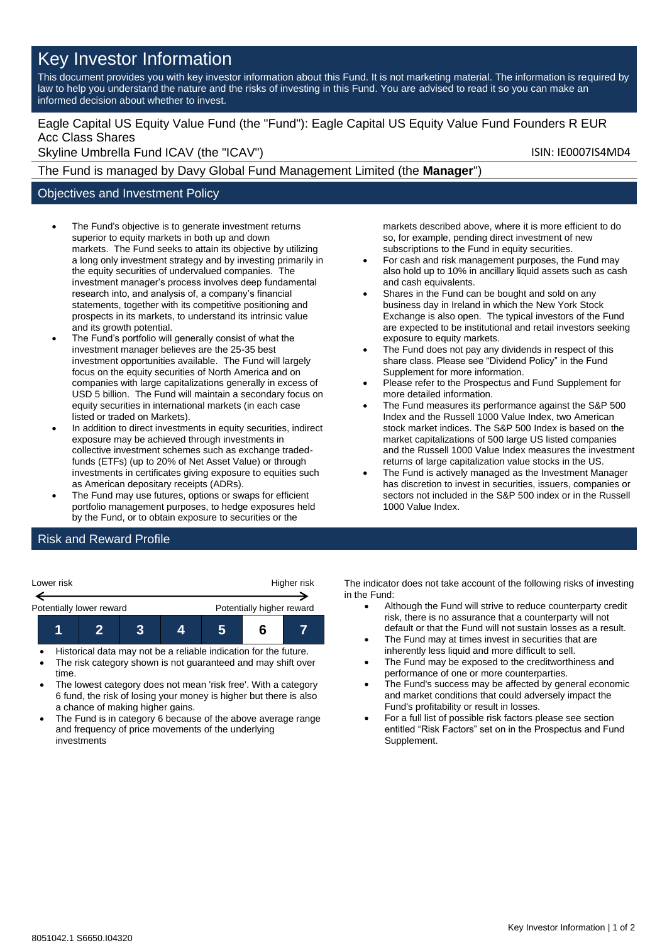# Key Investor Information

This document provides you with key investor information about this Fund. It is not marketing material. The information is required by law to help you understand the nature and the risks of investing in this Fund. You are advised to read it so you can make an informed decision about whether to invest.

## Eagle Capital US Equity Value Fund (the "Fund"): Eagle Capital US Equity Value Fund Founders R EUR Acc Class Shares

Skyline Umbrella Fund ICAV (the "ICAV") Show that the extra state of the ISIN: IE0007IS4MD4

The Fund is managed by Davy Global Fund Management Limited (the **Manager**")

### Objectives and Investment Policy

- The Fund's objective is to generate investment returns superior to equity markets in both up and down markets. The Fund seeks to attain its objective by utilizing a long only investment strategy and by investing primarily in the equity securities of undervalued companies. The investment manager's process involves deep fundamental research into, and analysis of, a company's financial statements, together with its competitive positioning and prospects in its markets, to understand its intrinsic value and its growth potential.
- The Fund's portfolio will generally consist of what the investment manager believes are the 25-35 best investment opportunities available. The Fund will largely focus on the equity securities of North America and on companies with large capitalizations generally in excess of USD 5 billion. The Fund will maintain a secondary focus on equity securities in international markets (in each case listed or traded on Markets).
- In addition to direct investments in equity securities, indirect exposure may be achieved through investments in collective investment schemes such as exchange tradedfunds (ETFs) (up to 20% of Net Asset Value) or through investments in certificates giving exposure to equities such as American depositary receipts (ADRs).
- The Fund may use futures, options or swaps for efficient portfolio management purposes, to hedge exposures held by the Fund, or to obtain exposure to securities or the

Risk and Reward Profile

| Lower risk |                                                       |  | Higher risk |  |  |  |
|------------|-------------------------------------------------------|--|-------------|--|--|--|
|            | Potentially higher reward<br>Potentially lower reward |  |             |  |  |  |
|            |                                                       |  |             |  |  |  |

- Historical data may not be a reliable indication for the future.
- The risk category shown is not guaranteed and may shift over time.
- The lowest category does not mean 'risk free'. With a category 6 fund, the risk of losing your money is higher but there is also a chance of making higher gains.
- The Fund is in category 6 because of the above average range and frequency of price movements of the underlying investments

markets described above, where it is more efficient to do so, for example, pending direct investment of new subscriptions to the Fund in equity securities.

- For cash and risk management purposes, the Fund may also hold up to 10% in ancillary liquid assets such as cash and cash equivalents.
- Shares in the Fund can be bought and sold on any business day in Ireland in which the New York Stock Exchange is also open. The typical investors of the Fund are expected to be institutional and retail investors seeking exposure to equity markets.
- The Fund does not pay any dividends in respect of this share class. Please see "Dividend Policy" in the Fund Supplement for more information.
- Please refer to the Prospectus and Fund Supplement for more detailed information.
- The Fund measures its performance against the S&P 500 Index and the Russell 1000 Value Index, two American stock market indices. The S&P 500 Index is based on the market capitalizations of 500 large US listed companies and the Russell 1000 Value Index measures the investment returns of large capitalization value stocks in the US.
- The Fund is actively managed as the Investment Manager has discretion to invest in securities, issuers, companies or sectors not included in the S&P 500 index or in the Russell 1000 Value Index.

The indicator does not take account of the following risks of investing in the Fund:

- Although the Fund will strive to reduce counterparty credit risk, there is no assurance that a counterparty will not default or that the Fund will not sustain losses as a result.
- The Fund may at times invest in securities that are inherently less liquid and more difficult to sell.
- The Fund may be exposed to the creditworthiness and performance of one or more counterparties.
- The Fund's success may be affected by general economic and market conditions that could adversely impact the Fund's profitability or result in losses.
- For a full list of possible risk factors please see section entitled "Risk Factors" set on in the Prospectus and Fund Supplement.